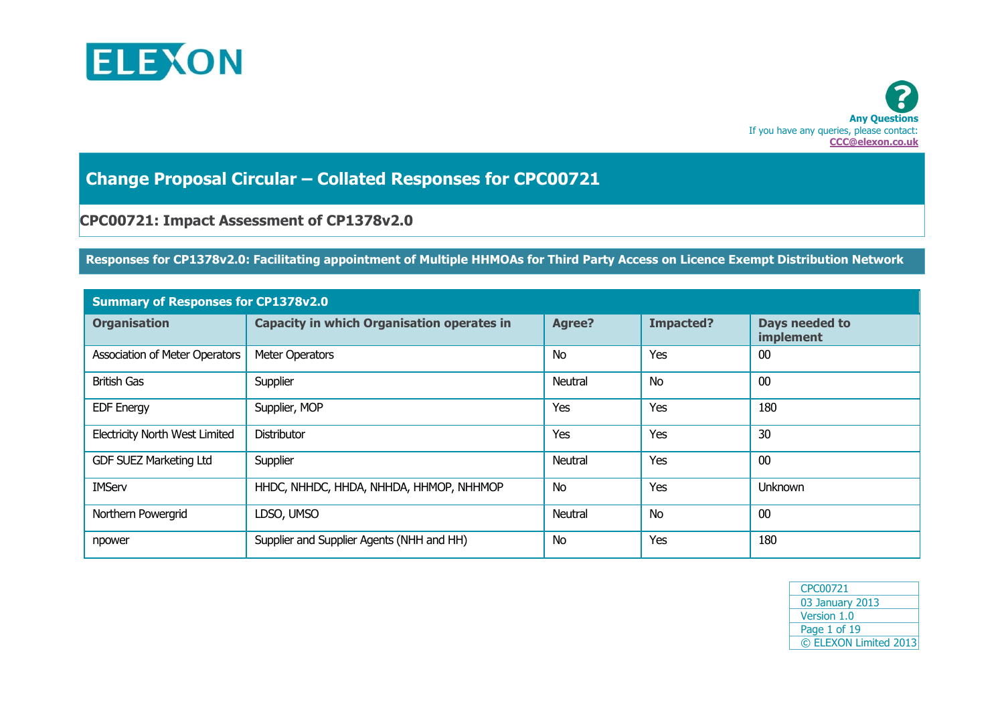



**Change Proposal Circular – Collated Responses for CPC00721**

# **CPC00721: Impact Assessment of CP1378v2.0**

## **Responses for CP1378v2.0: Facilitating appointment of Multiple HHMOAs for Third Party Access on Licence Exempt Distribution Network**

| <b>Summary of Responses for CP1378v2.0</b> |                                                   |               |                  |                             |  |  |
|--------------------------------------------|---------------------------------------------------|---------------|------------------|-----------------------------|--|--|
| <b>Organisation</b>                        | <b>Capacity in which Organisation operates in</b> | <b>Agree?</b> | <b>Impacted?</b> | Days needed to<br>implement |  |  |
| <b>Association of Meter Operators</b>      | Meter Operators                                   | <b>No</b>     | Yes              | 00                          |  |  |
| <b>British Gas</b>                         | Supplier                                          | Neutral       | <b>No</b>        | 00                          |  |  |
| <b>EDF Energy</b>                          | Supplier, MOP                                     | Yes           | Yes              | 180                         |  |  |
| <b>Electricity North West Limited</b>      | Distributor                                       | Yes           | Yes              | 30                          |  |  |
| <b>GDF SUEZ Marketing Ltd</b>              | Supplier                                          | Neutral       | Yes              | 00                          |  |  |
| <b>IMServ</b>                              | HHDC, NHHDC, HHDA, NHHDA, HHMOP, NHHMOP           | <b>No</b>     | Yes              | <b>Unknown</b>              |  |  |
| Northern Powergrid                         | LDSO, UMSO                                        | Neutral       | <b>No</b>        | 00                          |  |  |
| npower                                     | Supplier and Supplier Agents (NHH and HH)         | No            | Yes              | 180                         |  |  |

| CPC00721              |
|-----------------------|
| 03 January 2013       |
| Version 1.0           |
| Page 1 of 19          |
| © ELEXON Limited 2013 |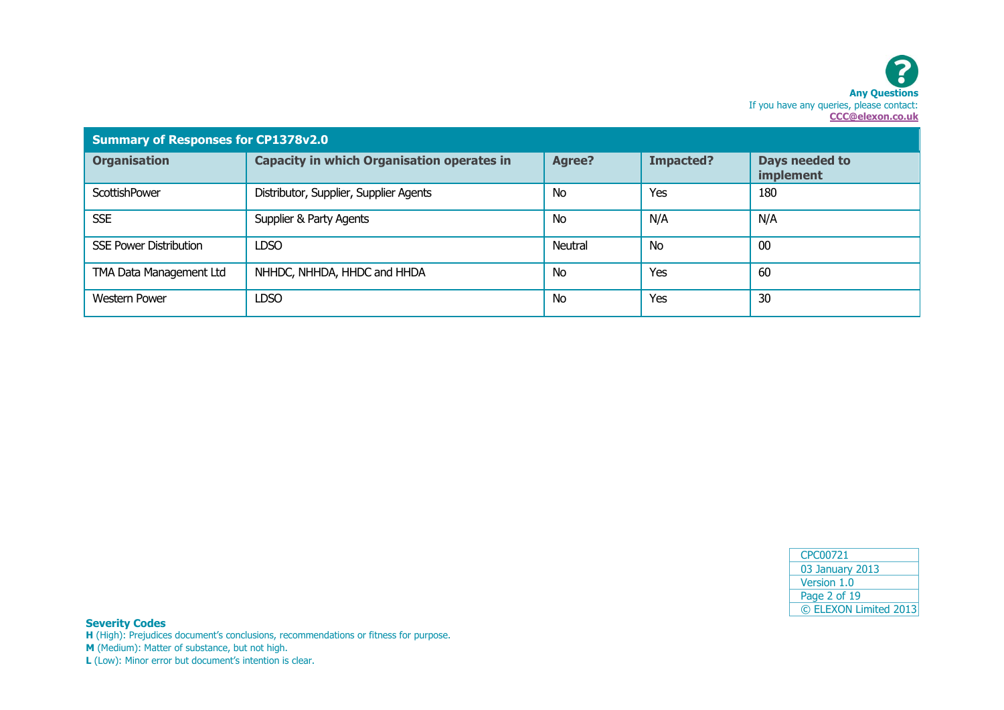| <b>Summary of Responses for CP1378v2.0</b> |                                                   |               |                  |                             |  |  |
|--------------------------------------------|---------------------------------------------------|---------------|------------------|-----------------------------|--|--|
| <b>Organisation</b>                        | <b>Capacity in which Organisation operates in</b> | <b>Agree?</b> | <b>Impacted?</b> | Days needed to<br>implement |  |  |
| <b>ScottishPower</b>                       | Distributor, Supplier, Supplier Agents            | <b>No</b>     | Yes              | 180                         |  |  |
| <b>SSE</b>                                 | Supplier & Party Agents                           | <b>No</b>     | N/A              | N/A                         |  |  |
| <b>SSE Power Distribution</b>              | <b>LDSO</b>                                       | Neutral       | <b>No</b>        | 00                          |  |  |
| TMA Data Management Ltd                    | NHHDC, NHHDA, HHDC and HHDA                       | <b>No</b>     | Yes              | 60                          |  |  |
| <b>Western Power</b>                       | <b>LDSO</b>                                       | <b>No</b>     | Yes              | 30                          |  |  |

| CPC00721              |
|-----------------------|
| 03 January 2013       |
| Version 1.0           |
| Page 2 of 19          |
| © ELEXON Limited 2013 |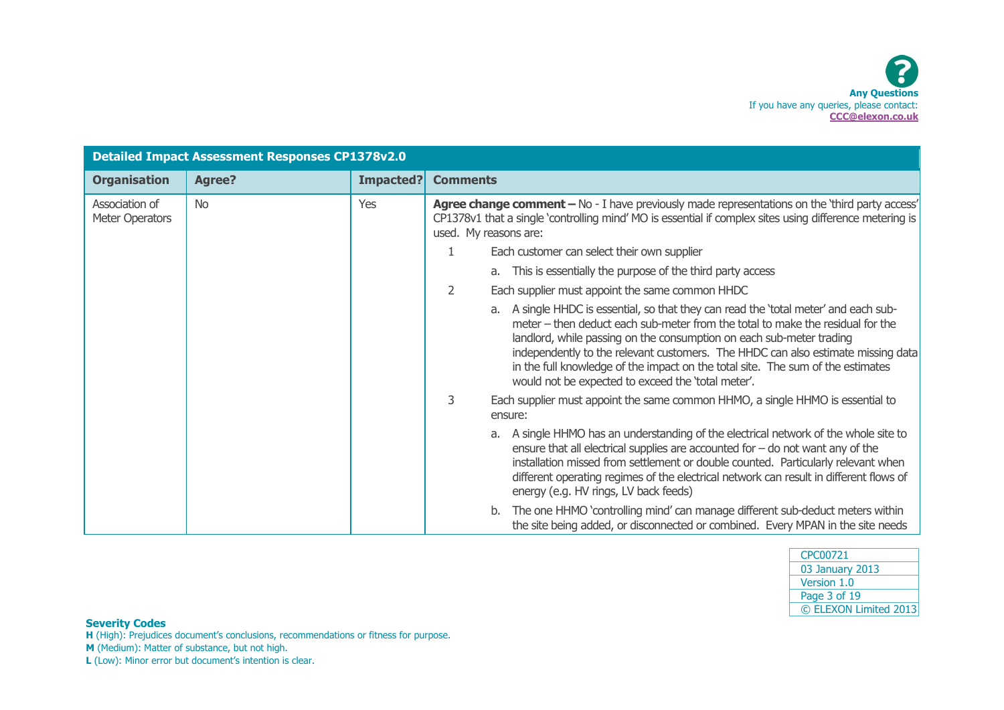| <b>Detailed Impact Assessment Responses CP1378v2.0</b> |               |           |                                                                                                                                                                                                                                                                                                                                                                                                                                                                             |
|--------------------------------------------------------|---------------|-----------|-----------------------------------------------------------------------------------------------------------------------------------------------------------------------------------------------------------------------------------------------------------------------------------------------------------------------------------------------------------------------------------------------------------------------------------------------------------------------------|
| <b>Organisation</b>                                    | <b>Agree?</b> | Impacted? | <b>Comments</b>                                                                                                                                                                                                                                                                                                                                                                                                                                                             |
| Association of<br>Meter Operators                      | <b>No</b>     | Yes       | Agree change comment - No - I have previously made representations on the 'third party access'<br>CP1378v1 that a single 'controlling mind' MO is essential if complex sites using difference metering is<br>used. My reasons are:                                                                                                                                                                                                                                          |
|                                                        |               |           | Each customer can select their own supplier                                                                                                                                                                                                                                                                                                                                                                                                                                 |
|                                                        |               |           | a. This is essentially the purpose of the third party access                                                                                                                                                                                                                                                                                                                                                                                                                |
|                                                        |               |           | 2<br>Each supplier must appoint the same common HHDC                                                                                                                                                                                                                                                                                                                                                                                                                        |
|                                                        |               |           | a. A single HHDC is essential, so that they can read the 'total meter' and each sub-<br>meter – then deduct each sub-meter from the total to make the residual for the<br>landlord, while passing on the consumption on each sub-meter trading<br>independently to the relevant customers. The HHDC can also estimate missing data<br>in the full knowledge of the impact on the total site. The sum of the estimates<br>would not be expected to exceed the 'total meter'. |
|                                                        |               |           | 3<br>Each supplier must appoint the same common HHMO, a single HHMO is essential to<br>ensure:                                                                                                                                                                                                                                                                                                                                                                              |
|                                                        |               |           | A single HHMO has an understanding of the electrical network of the whole site to<br>ensure that all electrical supplies are accounted for $-$ do not want any of the<br>installation missed from settlement or double counted. Particularly relevant when<br>different operating regimes of the electrical network can result in different flows of<br>energy (e.g. HV rings, LV back feeds)                                                                               |
|                                                        |               |           | The one HHMO 'controlling mind' can manage different sub-deduct meters within<br>b.<br>the site being added, or disconnected or combined. Every MPAN in the site needs                                                                                                                                                                                                                                                                                                      |

| CPC00721              |
|-----------------------|
| 03 January 2013       |
| Version 1.0           |
| Page 3 of 19          |
| © ELEXON Limited 2013 |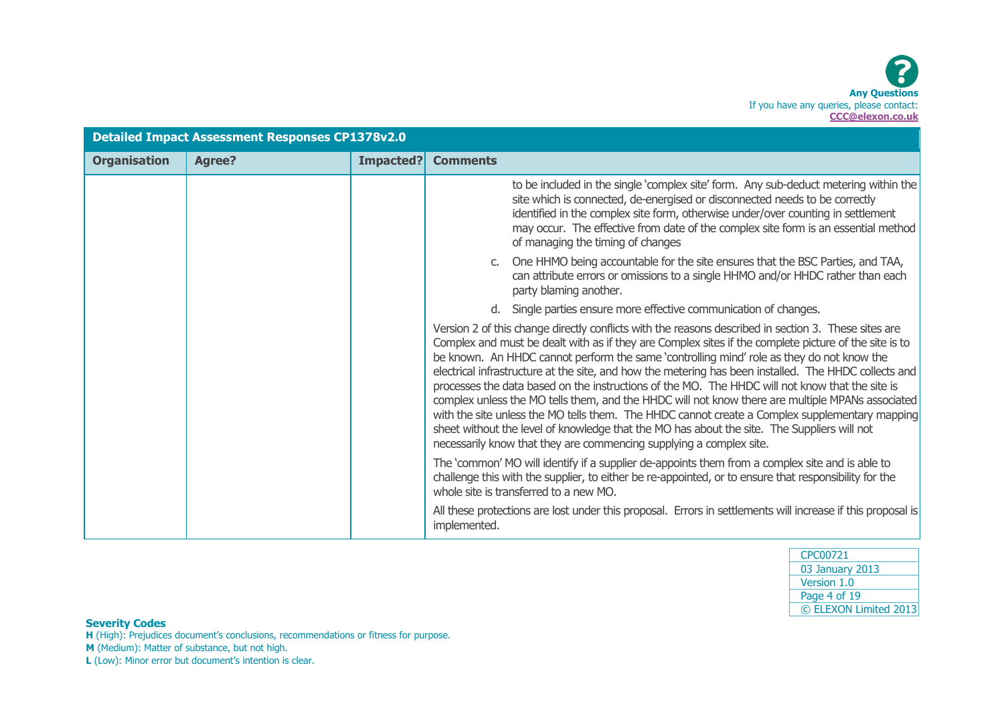| <b>Detailed Impact Assessment Responses CP1378v2.0</b> |               |           |                                                                                                                                                                                                                                                                                                                                                                                                                                                                                                                                                                                                                                                                                                                                                                                                                                                                                                    |
|--------------------------------------------------------|---------------|-----------|----------------------------------------------------------------------------------------------------------------------------------------------------------------------------------------------------------------------------------------------------------------------------------------------------------------------------------------------------------------------------------------------------------------------------------------------------------------------------------------------------------------------------------------------------------------------------------------------------------------------------------------------------------------------------------------------------------------------------------------------------------------------------------------------------------------------------------------------------------------------------------------------------|
| <b>Organisation</b>                                    | <b>Agree?</b> | Impacted? | <b>Comments</b>                                                                                                                                                                                                                                                                                                                                                                                                                                                                                                                                                                                                                                                                                                                                                                                                                                                                                    |
|                                                        |               |           | to be included in the single 'complex site' form. Any sub-deduct metering within the<br>site which is connected, de-energised or disconnected needs to be correctly<br>identified in the complex site form, otherwise under/over counting in settlement<br>may occur. The effective from date of the complex site form is an essential method<br>of managing the timing of changes                                                                                                                                                                                                                                                                                                                                                                                                                                                                                                                 |
|                                                        |               |           | c. One HHMO being accountable for the site ensures that the BSC Parties, and TAA,<br>can attribute errors or omissions to a single HHMO and/or HHDC rather than each<br>party blaming another.                                                                                                                                                                                                                                                                                                                                                                                                                                                                                                                                                                                                                                                                                                     |
|                                                        |               |           | Single parties ensure more effective communication of changes.                                                                                                                                                                                                                                                                                                                                                                                                                                                                                                                                                                                                                                                                                                                                                                                                                                     |
|                                                        |               |           | Version 2 of this change directly conflicts with the reasons described in section 3. These sites are<br>Complex and must be dealt with as if they are Complex sites if the complete picture of the site is to<br>be known. An HHDC cannot perform the same 'controlling mind' role as they do not know the<br>electrical infrastructure at the site, and how the metering has been installed. The HHDC collects and<br>processes the data based on the instructions of the MO. The HHDC will not know that the site is<br>complex unless the MO tells them, and the HHDC will not know there are multiple MPANs associated<br>with the site unless the MO tells them. The HHDC cannot create a Complex supplementary mapping<br>sheet without the level of knowledge that the MO has about the site. The Suppliers will not<br>necessarily know that they are commencing supplying a complex site. |
|                                                        |               |           | The 'common' MO will identify if a supplier de-appoints them from a complex site and is able to<br>challenge this with the supplier, to either be re-appointed, or to ensure that responsibility for the<br>whole site is transferred to a new MO.                                                                                                                                                                                                                                                                                                                                                                                                                                                                                                                                                                                                                                                 |
|                                                        |               |           | All these protections are lost under this proposal. Errors in settlements will increase if this proposal is<br>implemented.                                                                                                                                                                                                                                                                                                                                                                                                                                                                                                                                                                                                                                                                                                                                                                        |

| CPC00721              |
|-----------------------|
| 03 January 2013       |
| Version 1.0           |
| Page 4 of 19          |
| © ELEXON Limited 2013 |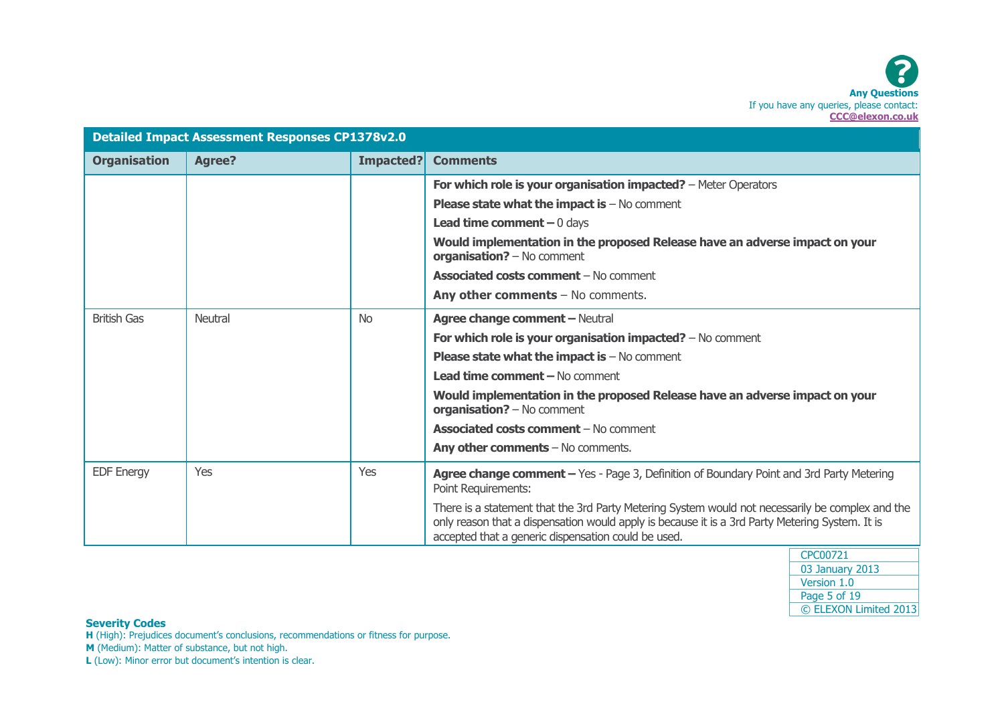| <b>Detailed Impact Assessment Responses CP1378v2.0</b> |                |           |                                                                                                                                                                                                                                                            |
|--------------------------------------------------------|----------------|-----------|------------------------------------------------------------------------------------------------------------------------------------------------------------------------------------------------------------------------------------------------------------|
| <b>Organisation</b>                                    | <b>Agree?</b>  | Impacted? | <b>Comments</b>                                                                                                                                                                                                                                            |
|                                                        |                |           | For which role is your organisation impacted? - Meter Operators                                                                                                                                                                                            |
|                                                        |                |           | <b>Please state what the impact is <math>-</math> No comment</b>                                                                                                                                                                                           |
|                                                        |                |           | <b>Lead time comment</b> $-0$ days                                                                                                                                                                                                                         |
|                                                        |                |           | Would implementation in the proposed Release have an adverse impact on your<br>organisation? - No comment                                                                                                                                                  |
|                                                        |                |           | <b>Associated costs comment - No comment</b>                                                                                                                                                                                                               |
|                                                        |                |           | Any other comments $-$ No comments.                                                                                                                                                                                                                        |
| <b>British Gas</b>                                     | <b>Neutral</b> | <b>No</b> | <b>Agree change comment - Neutral</b>                                                                                                                                                                                                                      |
|                                                        |                |           | For which role is your organisation impacted? $-$ No comment                                                                                                                                                                                               |
|                                                        |                |           | <b>Please state what the impact is <math>-</math> No comment</b>                                                                                                                                                                                           |
|                                                        |                |           | <b>Lead time comment - No comment</b>                                                                                                                                                                                                                      |
|                                                        |                |           | Would implementation in the proposed Release have an adverse impact on your<br>organisation? - No comment                                                                                                                                                  |
|                                                        |                |           | <b>Associated costs comment - No comment</b>                                                                                                                                                                                                               |
|                                                        |                |           | Any other comments $-$ No comments.                                                                                                                                                                                                                        |
| <b>EDF Energy</b>                                      | Yes            | Yes       | Agree change comment - Yes - Page 3, Definition of Boundary Point and 3rd Party Metering<br>Point Requirements:                                                                                                                                            |
|                                                        |                |           | There is a statement that the 3rd Party Metering System would not necessarily be complex and the<br>only reason that a dispensation would apply is because it is a 3rd Party Metering System. It is<br>accepted that a generic dispensation could be used. |
|                                                        |                |           |                                                                                                                                                                                                                                                            |

| CPC00721              |
|-----------------------|
| 03 January 2013       |
| Version 1.0           |
| Page 5 of 19          |
| © ELEXON Limited 2013 |

**H** (High): Prejudices document's conclusions, recommendations or fitness for purpose.

**M** (Medium): Matter of substance, but not high.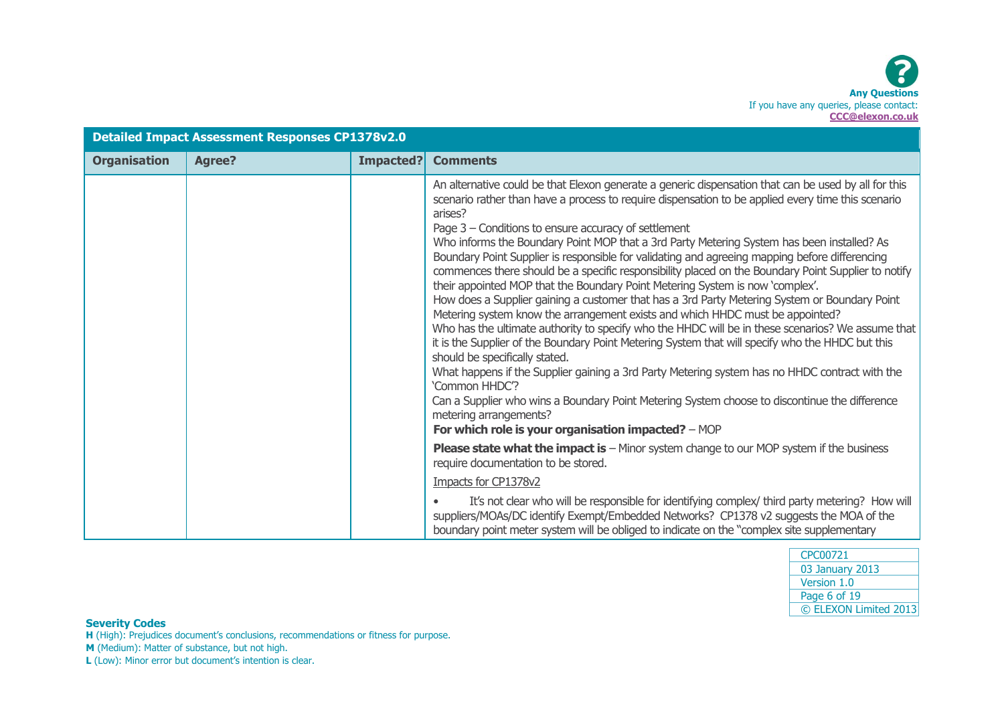| <b>Detailed Impact Assessment Responses CP1378v2.0</b> |               |           |                                                                                                                                                                                                                                                                                                                                                                                                                                                                                                                                                                                                                                                                                                                                                                                                                                                                                                                                                                                                                                                                                                                                                                                                                                                                                                                                                                                                          |  |
|--------------------------------------------------------|---------------|-----------|----------------------------------------------------------------------------------------------------------------------------------------------------------------------------------------------------------------------------------------------------------------------------------------------------------------------------------------------------------------------------------------------------------------------------------------------------------------------------------------------------------------------------------------------------------------------------------------------------------------------------------------------------------------------------------------------------------------------------------------------------------------------------------------------------------------------------------------------------------------------------------------------------------------------------------------------------------------------------------------------------------------------------------------------------------------------------------------------------------------------------------------------------------------------------------------------------------------------------------------------------------------------------------------------------------------------------------------------------------------------------------------------------------|--|
| <b>Organisation</b>                                    | <b>Agree?</b> | Impacted? | <b>Comments</b>                                                                                                                                                                                                                                                                                                                                                                                                                                                                                                                                                                                                                                                                                                                                                                                                                                                                                                                                                                                                                                                                                                                                                                                                                                                                                                                                                                                          |  |
|                                                        |               |           | An alternative could be that Elexon generate a generic dispensation that can be used by all for this<br>scenario rather than have a process to require dispensation to be applied every time this scenario<br>arises?<br>Page 3 – Conditions to ensure accuracy of settlement<br>Who informs the Boundary Point MOP that a 3rd Party Metering System has been installed? As<br>Boundary Point Supplier is responsible for validating and agreeing mapping before differencing<br>commences there should be a specific responsibility placed on the Boundary Point Supplier to notify<br>their appointed MOP that the Boundary Point Metering System is now 'complex'.<br>How does a Supplier gaining a customer that has a 3rd Party Metering System or Boundary Point<br>Metering system know the arrangement exists and which HHDC must be appointed?<br>Who has the ultimate authority to specify who the HHDC will be in these scenarios? We assume that<br>it is the Supplier of the Boundary Point Metering System that will specify who the HHDC but this<br>should be specifically stated.<br>What happens if the Supplier gaining a 3rd Party Metering system has no HHDC contract with the<br>'Common HHDC'?<br>Can a Supplier who wins a Boundary Point Metering System choose to discontinue the difference<br>metering arrangements?<br>For which role is your organisation impacted? - MOP |  |
|                                                        |               |           | <b>Please state what the impact is - Minor system change to our MOP system if the business</b>                                                                                                                                                                                                                                                                                                                                                                                                                                                                                                                                                                                                                                                                                                                                                                                                                                                                                                                                                                                                                                                                                                                                                                                                                                                                                                           |  |
|                                                        |               |           | require documentation to be stored.                                                                                                                                                                                                                                                                                                                                                                                                                                                                                                                                                                                                                                                                                                                                                                                                                                                                                                                                                                                                                                                                                                                                                                                                                                                                                                                                                                      |  |
|                                                        |               |           | Impacts for CP1378v2                                                                                                                                                                                                                                                                                                                                                                                                                                                                                                                                                                                                                                                                                                                                                                                                                                                                                                                                                                                                                                                                                                                                                                                                                                                                                                                                                                                     |  |
|                                                        |               |           | It's not clear who will be responsible for identifying complex/ third party metering? How will<br>$\bullet$<br>suppliers/MOAs/DC identify Exempt/Embedded Networks? CP1378 v2 suggests the MOA of the<br>boundary point meter system will be obliged to indicate on the "complex site supplementary                                                                                                                                                                                                                                                                                                                                                                                                                                                                                                                                                                                                                                                                                                                                                                                                                                                                                                                                                                                                                                                                                                      |  |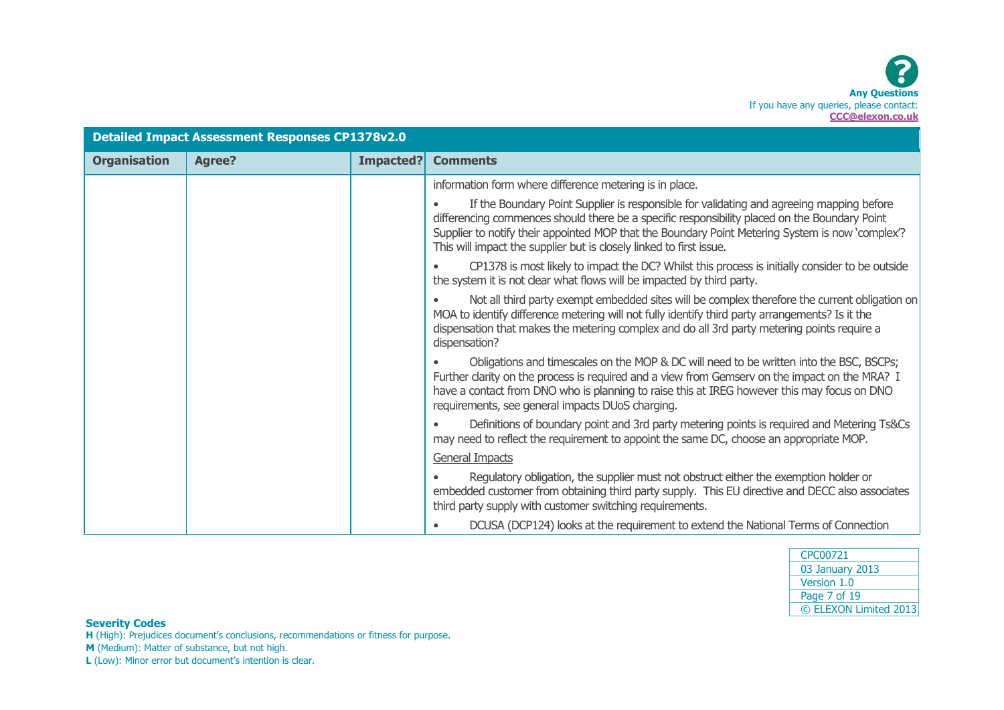| <b>Detailed Impact Assessment Responses CP1378v2.0</b> |               |           |                                                                                                                                                                                                                                                                                                                                                                      |
|--------------------------------------------------------|---------------|-----------|----------------------------------------------------------------------------------------------------------------------------------------------------------------------------------------------------------------------------------------------------------------------------------------------------------------------------------------------------------------------|
| <b>Organisation</b>                                    | <b>Agree?</b> | Impacted? | <b>Comments</b>                                                                                                                                                                                                                                                                                                                                                      |
|                                                        |               |           | information form where difference metering is in place.                                                                                                                                                                                                                                                                                                              |
|                                                        |               |           | If the Boundary Point Supplier is responsible for validating and agreeing mapping before<br>differencing commences should there be a specific responsibility placed on the Boundary Point<br>Supplier to notify their appointed MOP that the Boundary Point Metering System is now 'complex'?<br>This will impact the supplier but is closely linked to first issue. |
|                                                        |               |           | CP1378 is most likely to impact the DC? Whilst this process is initially consider to be outside<br>the system it is not clear what flows will be impacted by third party.                                                                                                                                                                                            |
|                                                        |               |           | Not all third party exempt embedded sites will be complex therefore the current obligation on<br>MOA to identify difference metering will not fully identify third party arrangements? Is it the<br>dispensation that makes the metering complex and do all 3rd party metering points require a<br>dispensation?                                                     |
|                                                        |               |           | Obligations and timescales on the MOP & DC will need to be written into the BSC, BSCPs;<br>Further clarity on the process is required and a view from Gemserv on the impact on the MRA? I<br>have a contact from DNO who is planning to raise this at IREG however this may focus on DNO<br>requirements, see general impacts DUoS charging.                         |
|                                                        |               |           | Definitions of boundary point and 3rd party metering points is required and Metering Ts&Cs<br>may need to reflect the requirement to appoint the same DC, choose an appropriate MOP.                                                                                                                                                                                 |
|                                                        |               |           | General Impacts                                                                                                                                                                                                                                                                                                                                                      |
|                                                        |               |           | Regulatory obligation, the supplier must not obstruct either the exemption holder or<br>embedded customer from obtaining third party supply. This EU directive and DECC also associates<br>third party supply with customer switching requirements.                                                                                                                  |
|                                                        |               |           | DCUSA (DCP124) looks at the requirement to extend the National Terms of Connection                                                                                                                                                                                                                                                                                   |

| CPC00721              |
|-----------------------|
| 03 January 2013       |
| Version 1.0           |
| Page 7 of 19          |
| © ELEXON Limited 2013 |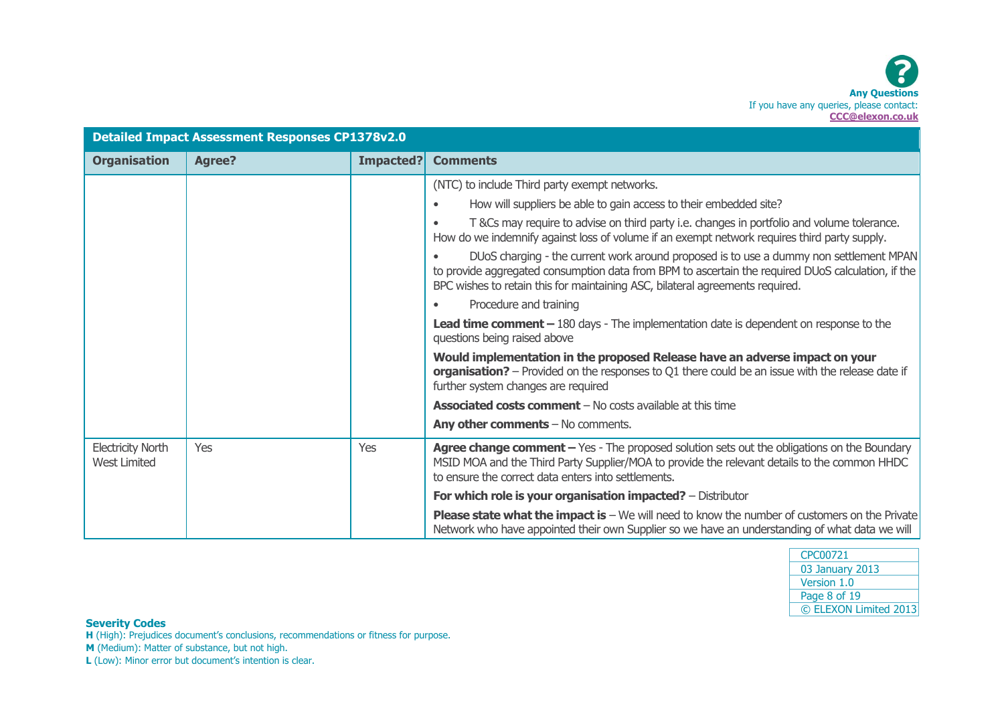

| <b>Detailed Impact Assessment Responses CP1378v2.0</b> |               |           |                                                                                                                                                                                                                                                                               |
|--------------------------------------------------------|---------------|-----------|-------------------------------------------------------------------------------------------------------------------------------------------------------------------------------------------------------------------------------------------------------------------------------|
| <b>Organisation</b>                                    | <b>Agree?</b> | Impacted? | <b>Comments</b>                                                                                                                                                                                                                                                               |
|                                                        |               |           | (NTC) to include Third party exempt networks.                                                                                                                                                                                                                                 |
|                                                        |               |           | How will suppliers be able to gain access to their embedded site?                                                                                                                                                                                                             |
|                                                        |               |           | T &Cs may require to advise on third party i.e. changes in portfolio and volume tolerance.<br>How do we indemnify against loss of volume if an exempt network requires third party supply.                                                                                    |
|                                                        |               |           | DUoS charging - the current work around proposed is to use a dummy non settlement MPAN<br>to provide aggregated consumption data from BPM to ascertain the required DUoS calculation, if the<br>BPC wishes to retain this for maintaining ASC, bilateral agreements required. |
|                                                        |               |           | Procedure and training                                                                                                                                                                                                                                                        |
|                                                        |               |           | <b>Lead time comment - 180 days - The implementation date is dependent on response to the</b><br>questions being raised above                                                                                                                                                 |
|                                                        |               |           | Would implementation in the proposed Release have an adverse impact on your<br>organisation? - Provided on the responses to Q1 there could be an issue with the release date if<br>further system changes are required                                                        |
|                                                        |               |           | <b>Associated costs comment</b> $-$ No costs available at this time                                                                                                                                                                                                           |
|                                                        |               |           | Any other comments $-$ No comments.                                                                                                                                                                                                                                           |
| <b>Electricity North</b><br><b>West Limited</b>        | Yes           | Yes       | Agree change comment - Yes - The proposed solution sets out the obligations on the Boundary<br>MSID MOA and the Third Party Supplier/MOA to provide the relevant details to the common HHDC<br>to ensure the correct data enters into settlements.                            |
|                                                        |               |           | For which role is your organisation impacted? - Distributor                                                                                                                                                                                                                   |
|                                                        |               |           | <b>Please state what the impact is - We will need to know the number of customers on the Private</b><br>Network who have appointed their own Supplier so we have an understanding of what data we will                                                                        |

| CPC00721              |
|-----------------------|
| 03 January 2013       |
| Version 1.0           |
| Page 8 of 19          |
| © ELEXON Limited 2013 |

**H** (High): Prejudices document's conclusions, recommendations or fitness for purpose.

**M** (Medium): Matter of substance, but not high.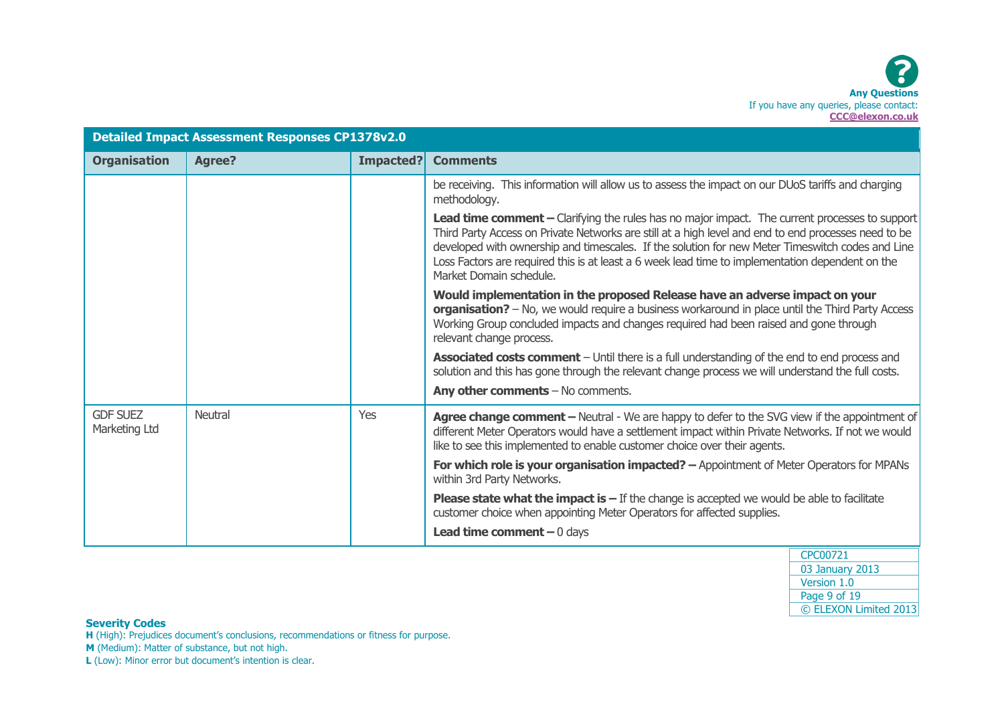| <b>Detailed Impact Assessment Responses CP1378v2.0</b> |               |           |                                                                                                                                                                                                                                                                                                                                                                                                                                           |
|--------------------------------------------------------|---------------|-----------|-------------------------------------------------------------------------------------------------------------------------------------------------------------------------------------------------------------------------------------------------------------------------------------------------------------------------------------------------------------------------------------------------------------------------------------------|
| <b>Organisation</b>                                    | <b>Agree?</b> | Impacted? | <b>Comments</b>                                                                                                                                                                                                                                                                                                                                                                                                                           |
|                                                        |               |           | be receiving. This information will allow us to assess the impact on our DUoS tariffs and charging<br>methodology.                                                                                                                                                                                                                                                                                                                        |
|                                                        |               |           | Lead time comment - Clarifying the rules has no major impact. The current processes to support<br>Third Party Access on Private Networks are still at a high level and end to end processes need to be<br>developed with ownership and timescales. If the solution for new Meter Timeswitch codes and Line<br>Loss Factors are required this is at least a 6 week lead time to implementation dependent on the<br>Market Domain schedule. |
|                                                        |               |           | Would implementation in the proposed Release have an adverse impact on your<br>organisation? - No, we would require a business workaround in place until the Third Party Access<br>Working Group concluded impacts and changes required had been raised and gone through<br>relevant change process.                                                                                                                                      |
|                                                        |               |           | Associated costs comment - Until there is a full understanding of the end to end process and<br>solution and this has gone through the relevant change process we will understand the full costs.                                                                                                                                                                                                                                         |
|                                                        |               |           | Any other comments - No comments.                                                                                                                                                                                                                                                                                                                                                                                                         |
| <b>GDF SUEZ</b><br>Marketing Ltd                       | Neutral       | Yes       | Agree change comment - Neutral - We are happy to defer to the SVG view if the appointment of<br>different Meter Operators would have a settlement impact within Private Networks. If not we would<br>like to see this implemented to enable customer choice over their agents.                                                                                                                                                            |
|                                                        |               |           | For which role is your organisation impacted? - Appointment of Meter Operators for MPANs<br>within 3rd Party Networks.                                                                                                                                                                                                                                                                                                                    |
|                                                        |               |           | <b>Please state what the impact is <math>-</math></b> If the change is accepted we would be able to facilitate<br>customer choice when appointing Meter Operators for affected supplies.                                                                                                                                                                                                                                                  |
|                                                        |               |           | <b>Lead time comment</b> $-0$ days                                                                                                                                                                                                                                                                                                                                                                                                        |

CPC00721 03 January 2013 Version 1.0 Page 9 of 19 © ELEXON Limited 2013

### **Severity Codes**

**H** (High): Prejudices document's conclusions, recommendations or fitness for purpose.

**M** (Medium): Matter of substance, but not high.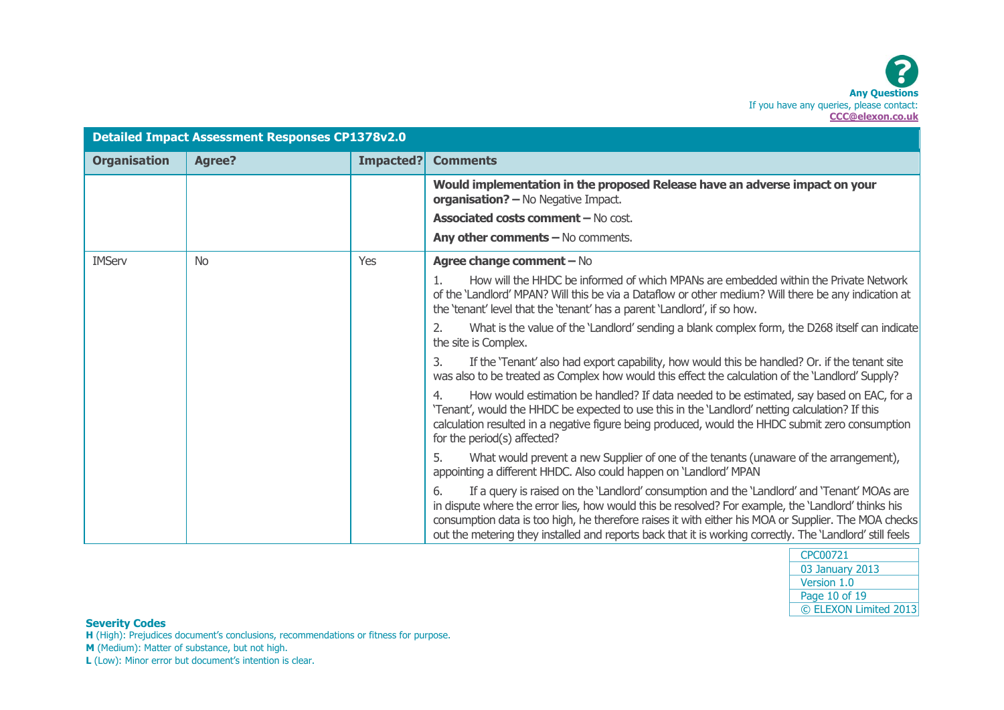| <b>Detailed Impact Assessment Responses CP1378v2.0</b> |               |           |                                                                                                                                                                                                                                                                                                                                                                                                                               |
|--------------------------------------------------------|---------------|-----------|-------------------------------------------------------------------------------------------------------------------------------------------------------------------------------------------------------------------------------------------------------------------------------------------------------------------------------------------------------------------------------------------------------------------------------|
| <b>Organisation</b>                                    | <b>Agree?</b> | Impacted? | <b>Comments</b>                                                                                                                                                                                                                                                                                                                                                                                                               |
|                                                        |               |           | Would implementation in the proposed Release have an adverse impact on your<br>organisation? - No Negative Impact.                                                                                                                                                                                                                                                                                                            |
|                                                        |               |           | <b>Associated costs comment - No cost.</b>                                                                                                                                                                                                                                                                                                                                                                                    |
|                                                        |               |           | Any other comments - No comments.                                                                                                                                                                                                                                                                                                                                                                                             |
| <b>IMServ</b>                                          | <b>No</b>     | Yes       | Agree change comment - No                                                                                                                                                                                                                                                                                                                                                                                                     |
|                                                        |               |           | How will the HHDC be informed of which MPANs are embedded within the Private Network<br>of the 'Landlord' MPAN? Will this be via a Dataflow or other medium? Will there be any indication at<br>the 'tenant' level that the 'tenant' has a parent 'Landlord', if so how.                                                                                                                                                      |
|                                                        |               |           | 2.<br>What is the value of the 'Landlord' sending a blank complex form, the D268 itself can indicate<br>the site is Complex.                                                                                                                                                                                                                                                                                                  |
|                                                        |               |           | If the 'Tenant' also had export capability, how would this be handled? Or. if the tenant site<br>3.<br>was also to be treated as Complex how would this effect the calculation of the 'Landlord' Supply?                                                                                                                                                                                                                      |
|                                                        |               |           | How would estimation be handled? If data needed to be estimated, say based on EAC, for a<br>4.<br>'Tenant', would the HHDC be expected to use this in the 'Landlord' netting calculation? If this<br>calculation resulted in a negative figure being produced, would the HHDC submit zero consumption<br>for the period(s) affected?                                                                                          |
|                                                        |               |           | 5.<br>What would prevent a new Supplier of one of the tenants (unaware of the arrangement),<br>appointing a different HHDC. Also could happen on 'Landlord' MPAN                                                                                                                                                                                                                                                              |
|                                                        |               |           | If a query is raised on the 'Landlord' consumption and the 'Landlord' and 'Tenant' MOAs are<br>6.<br>in dispute where the error lies, how would this be resolved? For example, the 'Landlord' thinks his<br>consumption data is too high, he therefore raises it with either his MOA or Supplier. The MOA checks<br>out the metering they installed and reports back that it is working correctly. The 'Landlord' still feels |

| CPC00721              |
|-----------------------|
| 03 January 2013       |
| Version 1.0           |
| Page 10 of 19         |
| © ELEXON Limited 2013 |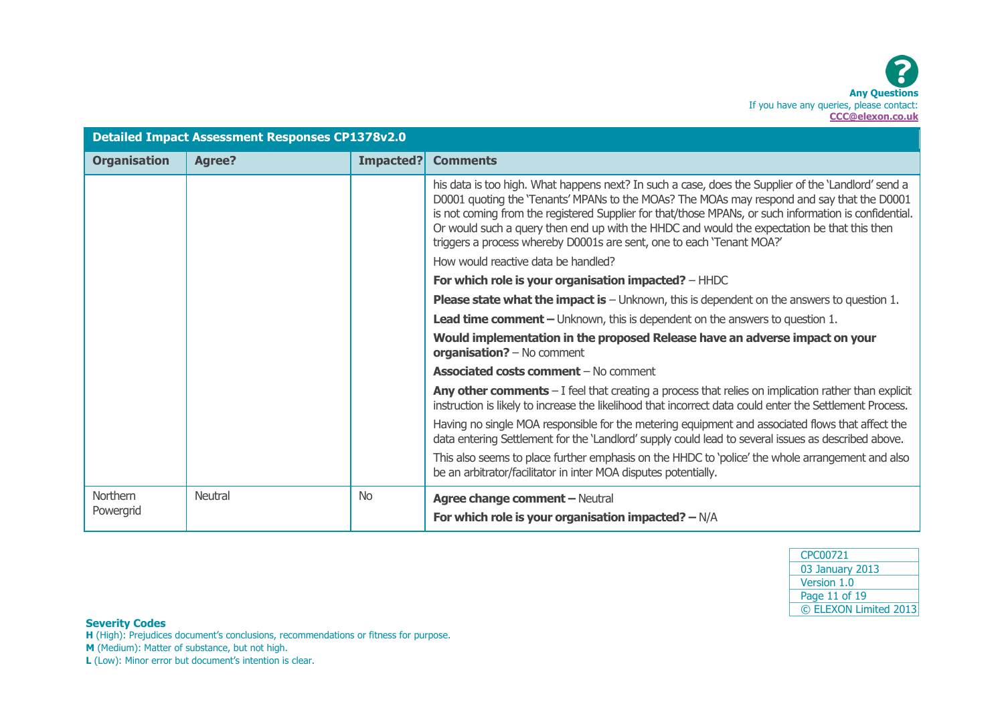| <b>Detailed Impact Assessment Responses CP1378v2.0</b> |               |           |                                                                                                                                                                                                                                                                                                                                                                                                                                                                                    |
|--------------------------------------------------------|---------------|-----------|------------------------------------------------------------------------------------------------------------------------------------------------------------------------------------------------------------------------------------------------------------------------------------------------------------------------------------------------------------------------------------------------------------------------------------------------------------------------------------|
| <b>Organisation</b>                                    | <b>Agree?</b> | Impacted? | <b>Comments</b>                                                                                                                                                                                                                                                                                                                                                                                                                                                                    |
|                                                        |               |           | his data is too high. What happens next? In such a case, does the Supplier of the 'Landlord' send a<br>D0001 quoting the 'Tenants' MPANs to the MOAs? The MOAs may respond and say that the D0001<br>is not coming from the registered Supplier for that/those MPANs, or such information is confidential.<br>Or would such a query then end up with the HHDC and would the expectation be that this then<br>triggers a process whereby D0001s are sent, one to each 'Tenant MOA?' |
|                                                        |               |           | How would reactive data be handled?                                                                                                                                                                                                                                                                                                                                                                                                                                                |
|                                                        |               |           | For which role is your organisation impacted? - HHDC                                                                                                                                                                                                                                                                                                                                                                                                                               |
|                                                        |               |           | <b>Please state what the impact is</b> $-$ Unknown, this is dependent on the answers to question 1.                                                                                                                                                                                                                                                                                                                                                                                |
|                                                        |               |           | <b>Lead time comment –</b> Unknown, this is dependent on the answers to question 1.                                                                                                                                                                                                                                                                                                                                                                                                |
|                                                        |               |           | Would implementation in the proposed Release have an adverse impact on your<br>organisation? - No comment                                                                                                                                                                                                                                                                                                                                                                          |
|                                                        |               |           | <b>Associated costs comment - No comment</b>                                                                                                                                                                                                                                                                                                                                                                                                                                       |
|                                                        |               |           | <b>Any other comments</b> $- I$ feel that creating a process that relies on implication rather than explicit<br>instruction is likely to increase the likelihood that incorrect data could enter the Settlement Process.                                                                                                                                                                                                                                                           |
|                                                        |               |           | Having no single MOA responsible for the metering equipment and associated flows that affect the<br>data entering Settlement for the 'Landlord' supply could lead to several issues as described above.                                                                                                                                                                                                                                                                            |
|                                                        |               |           | This also seems to place further emphasis on the HHDC to 'police' the whole arrangement and also<br>be an arbitrator/facilitator in inter MOA disputes potentially.                                                                                                                                                                                                                                                                                                                |
| Northern<br>Powergrid                                  | Neutral       | <b>No</b> | <b>Agree change comment - Neutral</b>                                                                                                                                                                                                                                                                                                                                                                                                                                              |
|                                                        |               |           | For which role is your organisation impacted? $-N/A$                                                                                                                                                                                                                                                                                                                                                                                                                               |

| CPC00721              |
|-----------------------|
| 03 January 2013       |
| Version 1.0           |
| Page 11 of 19         |
| © ELEXON Limited 2013 |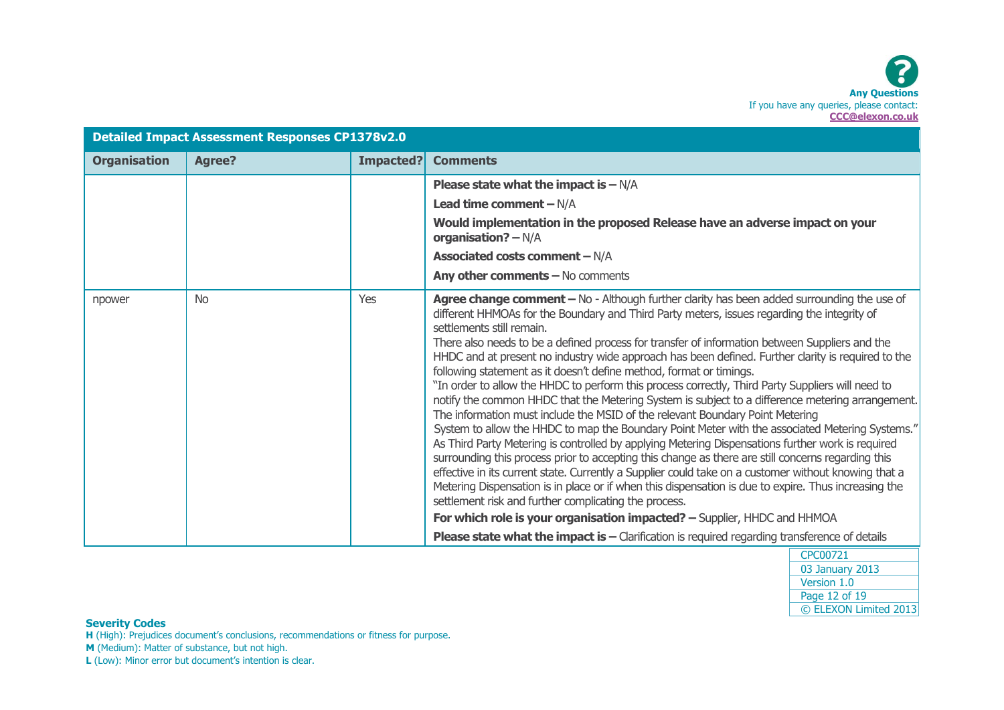| <b>Detailed Impact Assessment Responses CP1378v2.0</b> |               |           |                                                                                                                                                                                                                                                                                                                                                                                                                                                                                                                                                                                                                                                                                                                                                                                                                                                                                                                                                                                                                                                                                                                                                                                                                                                                                                                                                                                                                                                                                                                                                                                         |
|--------------------------------------------------------|---------------|-----------|-----------------------------------------------------------------------------------------------------------------------------------------------------------------------------------------------------------------------------------------------------------------------------------------------------------------------------------------------------------------------------------------------------------------------------------------------------------------------------------------------------------------------------------------------------------------------------------------------------------------------------------------------------------------------------------------------------------------------------------------------------------------------------------------------------------------------------------------------------------------------------------------------------------------------------------------------------------------------------------------------------------------------------------------------------------------------------------------------------------------------------------------------------------------------------------------------------------------------------------------------------------------------------------------------------------------------------------------------------------------------------------------------------------------------------------------------------------------------------------------------------------------------------------------------------------------------------------------|
| <b>Organisation</b>                                    | <b>Agree?</b> | Impacted? | <b>Comments</b>                                                                                                                                                                                                                                                                                                                                                                                                                                                                                                                                                                                                                                                                                                                                                                                                                                                                                                                                                                                                                                                                                                                                                                                                                                                                                                                                                                                                                                                                                                                                                                         |
|                                                        |               |           | <b>Please state what the impact is <math>-N/A</math></b>                                                                                                                                                                                                                                                                                                                                                                                                                                                                                                                                                                                                                                                                                                                                                                                                                                                                                                                                                                                                                                                                                                                                                                                                                                                                                                                                                                                                                                                                                                                                |
|                                                        |               |           | Lead time comment $-N/A$                                                                                                                                                                                                                                                                                                                                                                                                                                                                                                                                                                                                                                                                                                                                                                                                                                                                                                                                                                                                                                                                                                                                                                                                                                                                                                                                                                                                                                                                                                                                                                |
|                                                        |               |           | Would implementation in the proposed Release have an adverse impact on your<br>organisation? $-N/A$                                                                                                                                                                                                                                                                                                                                                                                                                                                                                                                                                                                                                                                                                                                                                                                                                                                                                                                                                                                                                                                                                                                                                                                                                                                                                                                                                                                                                                                                                     |
|                                                        |               |           | <b>Associated costs comment - N/A</b>                                                                                                                                                                                                                                                                                                                                                                                                                                                                                                                                                                                                                                                                                                                                                                                                                                                                                                                                                                                                                                                                                                                                                                                                                                                                                                                                                                                                                                                                                                                                                   |
|                                                        |               |           | Any other comments $-$ No comments                                                                                                                                                                                                                                                                                                                                                                                                                                                                                                                                                                                                                                                                                                                                                                                                                                                                                                                                                                                                                                                                                                                                                                                                                                                                                                                                                                                                                                                                                                                                                      |
| npower                                                 | <b>No</b>     | Yes       | Agree change comment - No - Although further clarity has been added surrounding the use of<br>different HHMOAs for the Boundary and Third Party meters, issues regarding the integrity of<br>settlements still remain.<br>There also needs to be a defined process for transfer of information between Suppliers and the<br>HHDC and at present no industry wide approach has been defined. Further clarity is required to the<br>following statement as it doesn't define method, format or timings.<br>"In order to allow the HHDC to perform this process correctly, Third Party Suppliers will need to<br>notify the common HHDC that the Metering System is subject to a difference metering arrangement.<br>The information must include the MSID of the relevant Boundary Point Metering<br>System to allow the HHDC to map the Boundary Point Meter with the associated Metering Systems."<br>As Third Party Metering is controlled by applying Metering Dispensations further work is required<br>surrounding this process prior to accepting this change as there are still concerns regarding this<br>effective in its current state. Currently a Supplier could take on a customer without knowing that a<br>Metering Dispensation is in place or if when this dispensation is due to expire. Thus increasing the<br>settlement risk and further complicating the process.<br>For which role is your organisation impacted? - Supplier, HHDC and HHMOA<br><b>Please state what the impact is <math>-</math></b> Clarification is required regarding transference of details |

**H** (High): Prejudices document's conclusions, recommendations or fitness for purpose. **M** (Medium): Matter of substance, but not high.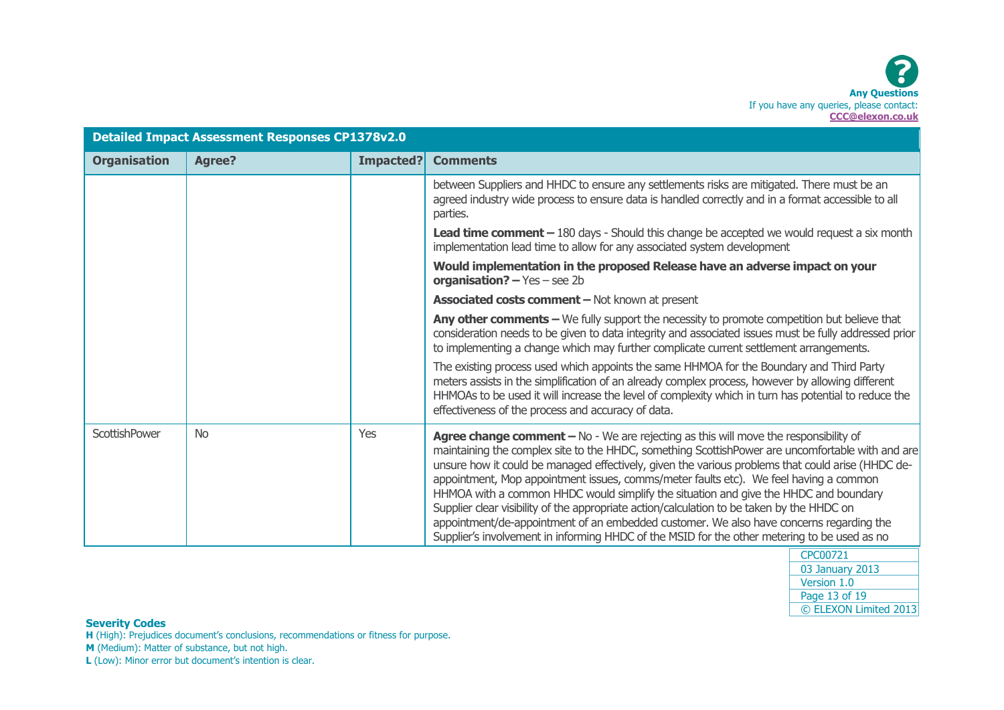| <b>Detailed Impact Assessment Responses CP1378v2.0</b> |               |                  |                                                                                                                                                                                                                                                                                                                                                                                                                                                                                                                                                                                                                                                                                                                                                                         |
|--------------------------------------------------------|---------------|------------------|-------------------------------------------------------------------------------------------------------------------------------------------------------------------------------------------------------------------------------------------------------------------------------------------------------------------------------------------------------------------------------------------------------------------------------------------------------------------------------------------------------------------------------------------------------------------------------------------------------------------------------------------------------------------------------------------------------------------------------------------------------------------------|
| <b>Organisation</b>                                    | <b>Agree?</b> | <b>Impacted?</b> | <b>Comments</b>                                                                                                                                                                                                                                                                                                                                                                                                                                                                                                                                                                                                                                                                                                                                                         |
|                                                        |               |                  | between Suppliers and HHDC to ensure any settlements risks are mitigated. There must be an<br>agreed industry wide process to ensure data is handled correctly and in a format accessible to all<br>parties.                                                                                                                                                                                                                                                                                                                                                                                                                                                                                                                                                            |
|                                                        |               |                  | Lead time comment - 180 days - Should this change be accepted we would request a six month<br>implementation lead time to allow for any associated system development                                                                                                                                                                                                                                                                                                                                                                                                                                                                                                                                                                                                   |
|                                                        |               |                  | Would implementation in the proposed Release have an adverse impact on your<br>organisation? $-$ Yes $-$ see 2b                                                                                                                                                                                                                                                                                                                                                                                                                                                                                                                                                                                                                                                         |
|                                                        |               |                  | <b>Associated costs comment - Not known at present</b>                                                                                                                                                                                                                                                                                                                                                                                                                                                                                                                                                                                                                                                                                                                  |
|                                                        |               |                  | Any other comments - We fully support the necessity to promote competition but believe that<br>consideration needs to be given to data integrity and associated issues must be fully addressed prior<br>to implementing a change which may further complicate current settlement arrangements.                                                                                                                                                                                                                                                                                                                                                                                                                                                                          |
|                                                        |               |                  | The existing process used which appoints the same HHMOA for the Boundary and Third Party<br>meters assists in the simplification of an already complex process, however by allowing different<br>HHMOAs to be used it will increase the level of complexity which in turn has potential to reduce the<br>effectiveness of the process and accuracy of data.                                                                                                                                                                                                                                                                                                                                                                                                             |
| ScottishPower                                          | <b>No</b>     | Yes              | Agree change comment - No - We are rejecting as this will move the responsibility of<br>maintaining the complex site to the HHDC, something ScottishPower are uncomfortable with and are<br>unsure how it could be managed effectively, given the various problems that could arise (HHDC de-<br>appointment, Mop appointment issues, comms/meter faults etc). We feel having a common<br>HHMOA with a common HHDC would simplify the situation and give the HHDC and boundary<br>Supplier clear visibility of the appropriate action/calculation to be taken by the HHDC on<br>appointment/de-appointment of an embedded customer. We also have concerns regarding the<br>Supplier's involvement in informing HHDC of the MSID for the other metering to be used as no |

**H** (High): Prejudices document's conclusions, recommendations or fitness for purpose.

**M** (Medium): Matter of substance, but not high.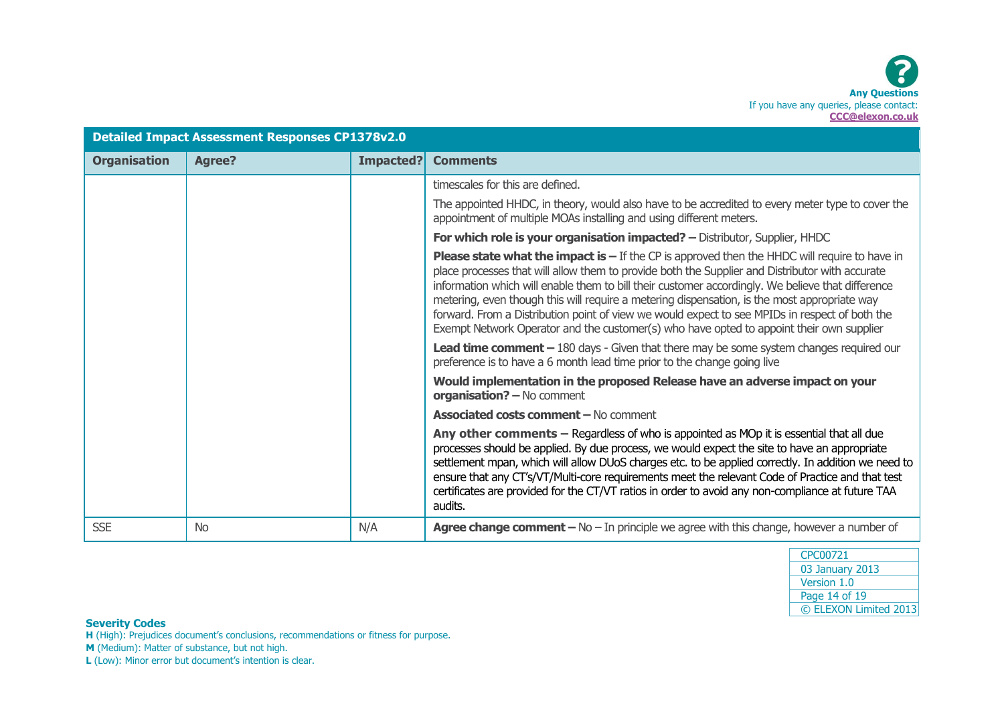| <b>Detailed Impact Assessment Responses CP1378v2.0</b> |               |           |                                                                                                                                                                                                                                                                                                                                                                                                                                                                                                                                                                                                                         |  |  |
|--------------------------------------------------------|---------------|-----------|-------------------------------------------------------------------------------------------------------------------------------------------------------------------------------------------------------------------------------------------------------------------------------------------------------------------------------------------------------------------------------------------------------------------------------------------------------------------------------------------------------------------------------------------------------------------------------------------------------------------------|--|--|
| <b>Organisation</b>                                    | <b>Agree?</b> | Impacted? | <b>Comments</b>                                                                                                                                                                                                                                                                                                                                                                                                                                                                                                                                                                                                         |  |  |
|                                                        |               |           | timescales for this are defined.                                                                                                                                                                                                                                                                                                                                                                                                                                                                                                                                                                                        |  |  |
|                                                        |               |           | The appointed HHDC, in theory, would also have to be accredited to every meter type to cover the<br>appointment of multiple MOAs installing and using different meters.                                                                                                                                                                                                                                                                                                                                                                                                                                                 |  |  |
|                                                        |               |           | For which role is your organisation impacted? - Distributor, Supplier, HHDC                                                                                                                                                                                                                                                                                                                                                                                                                                                                                                                                             |  |  |
|                                                        |               |           | <b>Please state what the impact is <math>-</math></b> If the CP is approved then the HHDC will require to have in<br>place processes that will allow them to provide both the Supplier and Distributor with accurate<br>information which will enable them to bill their customer accordingly. We believe that difference<br>metering, even though this will require a metering dispensation, is the most appropriate way<br>forward. From a Distribution point of view we would expect to see MPIDs in respect of both the<br>Exempt Network Operator and the customer(s) who have opted to appoint their own supplier |  |  |
|                                                        |               |           | <b>Lead time comment</b> $-$ 180 days - Given that there may be some system changes required our<br>preference is to have a 6 month lead time prior to the change going live                                                                                                                                                                                                                                                                                                                                                                                                                                            |  |  |
|                                                        |               |           | Would implementation in the proposed Release have an adverse impact on your<br>organisation? - No comment                                                                                                                                                                                                                                                                                                                                                                                                                                                                                                               |  |  |
|                                                        |               |           | <b>Associated costs comment - No comment</b>                                                                                                                                                                                                                                                                                                                                                                                                                                                                                                                                                                            |  |  |
|                                                        |               |           | Any other comments - Regardless of who is appointed as MOp it is essential that all due<br>processes should be applied. By due process, we would expect the site to have an appropriate<br>settlement mpan, which will allow DUoS charges etc. to be applied correctly. In addition we need to<br>ensure that any CT's/VT/Multi-core requirements meet the relevant Code of Practice and that test<br>certificates are provided for the CT/VT ratios in order to avoid any non-compliance at future TAA<br>audits.                                                                                                      |  |  |
| <b>SSE</b>                                             | <b>No</b>     | N/A       | <b>Agree change comment - No - In principle we agree with this change, however a number of</b>                                                                                                                                                                                                                                                                                                                                                                                                                                                                                                                          |  |  |

| CPC00721              |
|-----------------------|
| 03 January 2013       |
| Version 1.0           |
| Page 14 of 19         |
| © ELEXON Limited 2013 |

**H** (High): Prejudices document's conclusions, recommendations or fitness for purpose.

**M** (Medium): Matter of substance, but not high.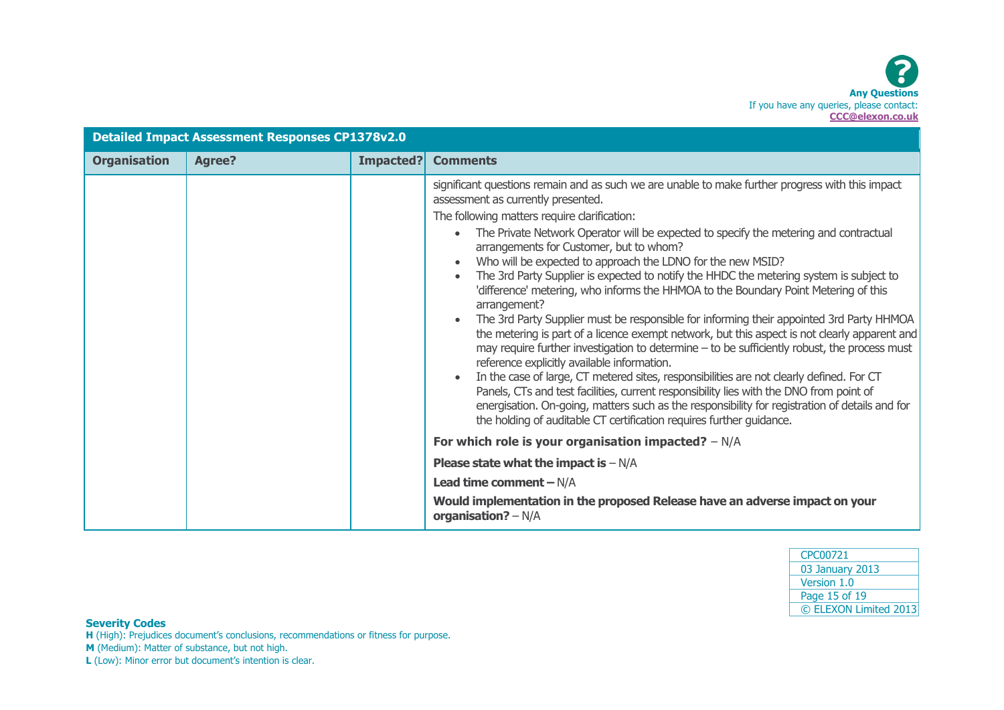| <b>Detailed Impact Assessment Responses CP1378v2.0</b> |               |           |                                                                                                                                                                                                                                                                                                                                                                                                                                                                                                                                                                                                                                                                                                                                                                                                                                                                                                                                                                                                                                                                                                                                                                                                                                                                                                                                                              |  |  |
|--------------------------------------------------------|---------------|-----------|--------------------------------------------------------------------------------------------------------------------------------------------------------------------------------------------------------------------------------------------------------------------------------------------------------------------------------------------------------------------------------------------------------------------------------------------------------------------------------------------------------------------------------------------------------------------------------------------------------------------------------------------------------------------------------------------------------------------------------------------------------------------------------------------------------------------------------------------------------------------------------------------------------------------------------------------------------------------------------------------------------------------------------------------------------------------------------------------------------------------------------------------------------------------------------------------------------------------------------------------------------------------------------------------------------------------------------------------------------------|--|--|
| <b>Organisation</b>                                    | <b>Agree?</b> | Impacted? | <b>Comments</b>                                                                                                                                                                                                                                                                                                                                                                                                                                                                                                                                                                                                                                                                                                                                                                                                                                                                                                                                                                                                                                                                                                                                                                                                                                                                                                                                              |  |  |
|                                                        |               |           | significant questions remain and as such we are unable to make further progress with this impact<br>assessment as currently presented.<br>The following matters require clarification:<br>The Private Network Operator will be expected to specify the metering and contractual<br>$\bullet$<br>arrangements for Customer, but to whom?<br>Who will be expected to approach the LDNO for the new MSID?<br>The 3rd Party Supplier is expected to notify the HHDC the metering system is subject to<br>$\bullet$<br>'difference' metering, who informs the HHMOA to the Boundary Point Metering of this<br>arrangement?<br>The 3rd Party Supplier must be responsible for informing their appointed 3rd Party HHMOA<br>$\bullet$<br>the metering is part of a licence exempt network, but this aspect is not clearly apparent and<br>may require further investigation to determine - to be sufficiently robust, the process must<br>reference explicitly available information.<br>In the case of large, CT metered sites, responsibilities are not clearly defined. For CT<br>$\bullet$<br>Panels, CTs and test facilities, current responsibility lies with the DNO from point of<br>energisation. On-going, matters such as the responsibility for registration of details and for<br>the holding of auditable CT certification requires further guidance. |  |  |
|                                                        |               |           | For which role is your organisation impacted? $-N/A$                                                                                                                                                                                                                                                                                                                                                                                                                                                                                                                                                                                                                                                                                                                                                                                                                                                                                                                                                                                                                                                                                                                                                                                                                                                                                                         |  |  |
|                                                        |               |           | <b>Please state what the impact is - <math>N/A</math></b>                                                                                                                                                                                                                                                                                                                                                                                                                                                                                                                                                                                                                                                                                                                                                                                                                                                                                                                                                                                                                                                                                                                                                                                                                                                                                                    |  |  |
|                                                        |               |           | Lead time comment $-N/A$                                                                                                                                                                                                                                                                                                                                                                                                                                                                                                                                                                                                                                                                                                                                                                                                                                                                                                                                                                                                                                                                                                                                                                                                                                                                                                                                     |  |  |
|                                                        |               |           | Would implementation in the proposed Release have an adverse impact on your<br>organisation? $-N/A$                                                                                                                                                                                                                                                                                                                                                                                                                                                                                                                                                                                                                                                                                                                                                                                                                                                                                                                                                                                                                                                                                                                                                                                                                                                          |  |  |

| CPC00721              |
|-----------------------|
| 03 January 2013       |
| Version 1.0           |
| Page 15 of 19         |
| © ELEXON Limited 2013 |
|                       |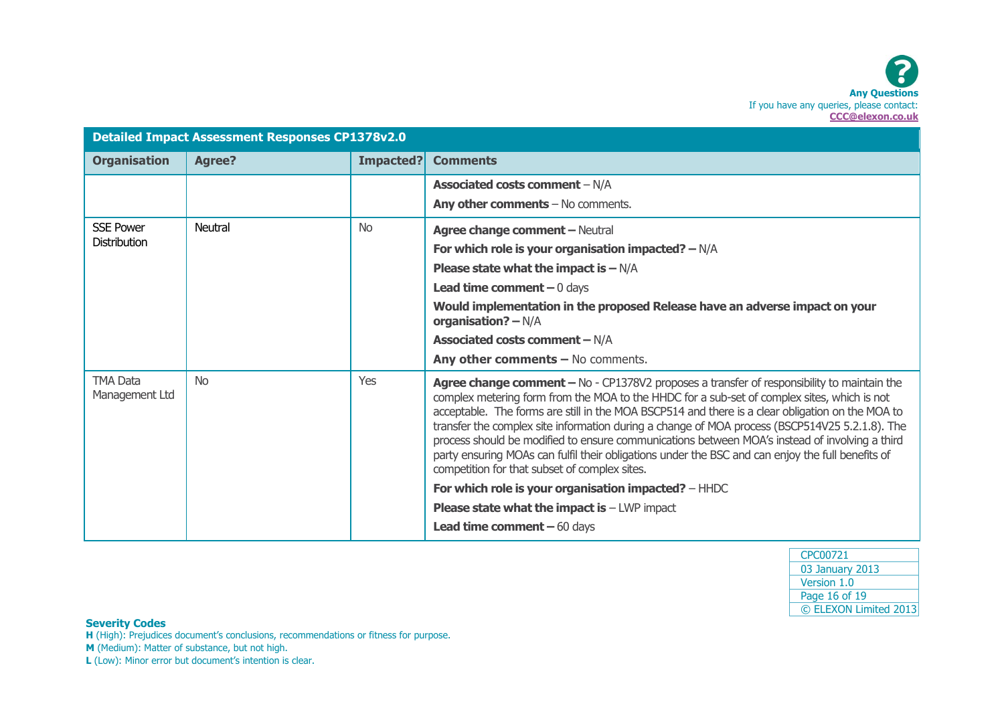| <b>Detailed Impact Assessment Responses CP1378v2.0</b> |               |           |                                                                                                                                                                                                                                                                                                                                                                                                                                                                                                                                                                                                                                                         |  |
|--------------------------------------------------------|---------------|-----------|---------------------------------------------------------------------------------------------------------------------------------------------------------------------------------------------------------------------------------------------------------------------------------------------------------------------------------------------------------------------------------------------------------------------------------------------------------------------------------------------------------------------------------------------------------------------------------------------------------------------------------------------------------|--|
| <b>Organisation</b>                                    | <b>Agree?</b> | Impacted? | <b>Comments</b>                                                                                                                                                                                                                                                                                                                                                                                                                                                                                                                                                                                                                                         |  |
|                                                        |               |           | <b>Associated costs comment - N/A</b>                                                                                                                                                                                                                                                                                                                                                                                                                                                                                                                                                                                                                   |  |
|                                                        |               |           | Any other comments - No comments.                                                                                                                                                                                                                                                                                                                                                                                                                                                                                                                                                                                                                       |  |
| <b>SSE Power</b>                                       | Neutral       | <b>No</b> | Agree change comment - Neutral                                                                                                                                                                                                                                                                                                                                                                                                                                                                                                                                                                                                                          |  |
| <b>Distribution</b>                                    |               |           | For which role is your organisation impacted? $-N/A$                                                                                                                                                                                                                                                                                                                                                                                                                                                                                                                                                                                                    |  |
|                                                        |               |           | <b>Please state what the impact is <math>-N/A</math></b>                                                                                                                                                                                                                                                                                                                                                                                                                                                                                                                                                                                                |  |
|                                                        |               |           | <b>Lead time comment</b> $-0$ days                                                                                                                                                                                                                                                                                                                                                                                                                                                                                                                                                                                                                      |  |
|                                                        |               |           | Would implementation in the proposed Release have an adverse impact on your<br>organisation? - N/A                                                                                                                                                                                                                                                                                                                                                                                                                                                                                                                                                      |  |
|                                                        |               |           | <b>Associated costs comment - N/A</b>                                                                                                                                                                                                                                                                                                                                                                                                                                                                                                                                                                                                                   |  |
|                                                        |               |           | Any other comments $-$ No comments.                                                                                                                                                                                                                                                                                                                                                                                                                                                                                                                                                                                                                     |  |
| <b>TMA Data</b><br>Management Ltd                      | <b>No</b>     | Yes       | Agree change comment - No - CP1378V2 proposes a transfer of responsibility to maintain the<br>complex metering form from the MOA to the HHDC for a sub-set of complex sites, which is not<br>acceptable. The forms are still in the MOA BSCP514 and there is a clear obligation on the MOA to<br>transfer the complex site information during a change of MOA process (BSCP514V25 5.2.1.8). The<br>process should be modified to ensure communications between MOA's instead of involving a third<br>party ensuring MOAs can fulfil their obligations under the BSC and can enjoy the full benefits of<br>competition for that subset of complex sites. |  |
|                                                        |               |           | For which role is your organisation impacted? - HHDC                                                                                                                                                                                                                                                                                                                                                                                                                                                                                                                                                                                                    |  |
|                                                        |               |           | <b>Please state what the impact is <math>-</math> LWP impact</b>                                                                                                                                                                                                                                                                                                                                                                                                                                                                                                                                                                                        |  |
|                                                        |               |           | <b>Lead time comment</b> $-60$ days                                                                                                                                                                                                                                                                                                                                                                                                                                                                                                                                                                                                                     |  |

| CPC00721              |
|-----------------------|
| 03 January 2013       |
| Version 1.0           |
| Page 16 of 19         |
| © ELEXON Limited 2013 |
|                       |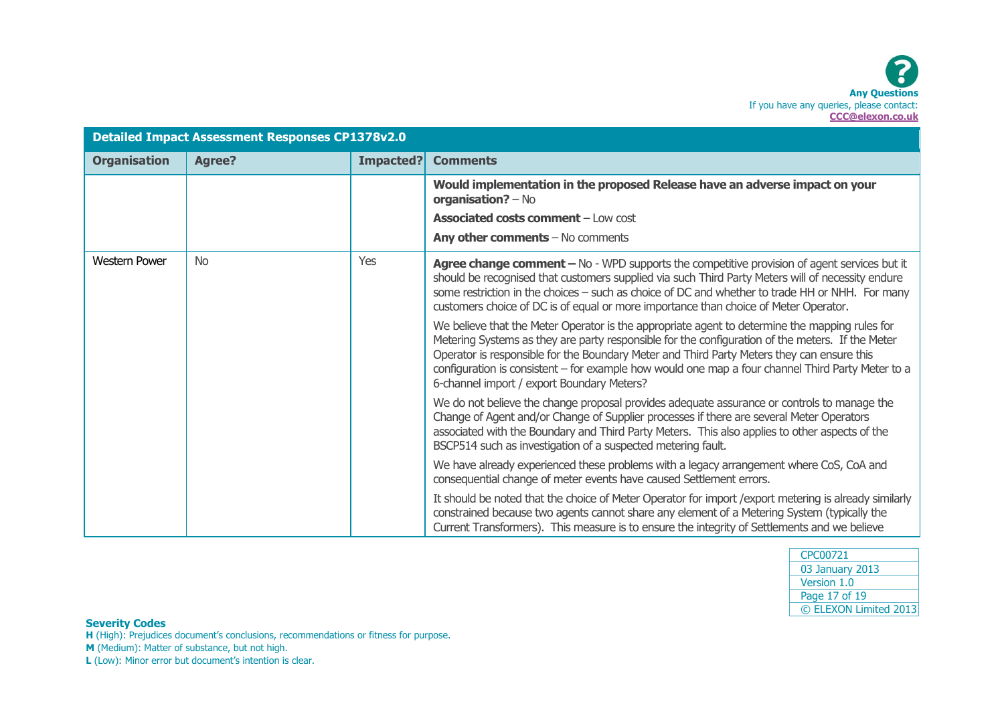| <b>Detailed Impact Assessment Responses CP1378v2.0</b> |               |           |                                                                                                                                                                                                                                                                                                                                                                                                                                                     |  |
|--------------------------------------------------------|---------------|-----------|-----------------------------------------------------------------------------------------------------------------------------------------------------------------------------------------------------------------------------------------------------------------------------------------------------------------------------------------------------------------------------------------------------------------------------------------------------|--|
| <b>Organisation</b>                                    | <b>Agree?</b> | Impacted? | <b>Comments</b>                                                                                                                                                                                                                                                                                                                                                                                                                                     |  |
|                                                        |               |           | Would implementation in the proposed Release have an adverse impact on your<br>organisation? $-$ No                                                                                                                                                                                                                                                                                                                                                 |  |
|                                                        |               |           | <b>Associated costs comment - Low cost</b>                                                                                                                                                                                                                                                                                                                                                                                                          |  |
|                                                        |               |           | Any other comments $-$ No comments                                                                                                                                                                                                                                                                                                                                                                                                                  |  |
| <b>Western Power</b>                                   | <b>No</b>     | Yes       | Agree change comment - No - WPD supports the competitive provision of agent services but it<br>should be recognised that customers supplied via such Third Party Meters will of necessity endure<br>some restriction in the choices - such as choice of DC and whether to trade HH or NHH. For many<br>customers choice of DC is of equal or more importance than choice of Meter Operator.                                                         |  |
|                                                        |               |           | We believe that the Meter Operator is the appropriate agent to determine the mapping rules for<br>Metering Systems as they are party responsible for the configuration of the meters. If the Meter<br>Operator is responsible for the Boundary Meter and Third Party Meters they can ensure this<br>configuration is consistent - for example how would one map a four channel Third Party Meter to a<br>6-channel import / export Boundary Meters? |  |
|                                                        |               |           | We do not believe the change proposal provides adequate assurance or controls to manage the<br>Change of Agent and/or Change of Supplier processes if there are several Meter Operators<br>associated with the Boundary and Third Party Meters. This also applies to other aspects of the<br>BSCP514 such as investigation of a suspected metering fault.                                                                                           |  |
|                                                        |               |           | We have already experienced these problems with a legacy arrangement where CoS, CoA and<br>consequential change of meter events have caused Settlement errors.                                                                                                                                                                                                                                                                                      |  |
|                                                        |               |           | It should be noted that the choice of Meter Operator for import / export metering is already similarly<br>constrained because two agents cannot share any element of a Metering System (typically the<br>Current Transformers). This measure is to ensure the integrity of Settlements and we believe                                                                                                                                               |  |

| CPC00721              |
|-----------------------|
| 03 January 2013       |
| Version 1.0           |
| Page 17 of 19         |
| © ELEXON Limited 2013 |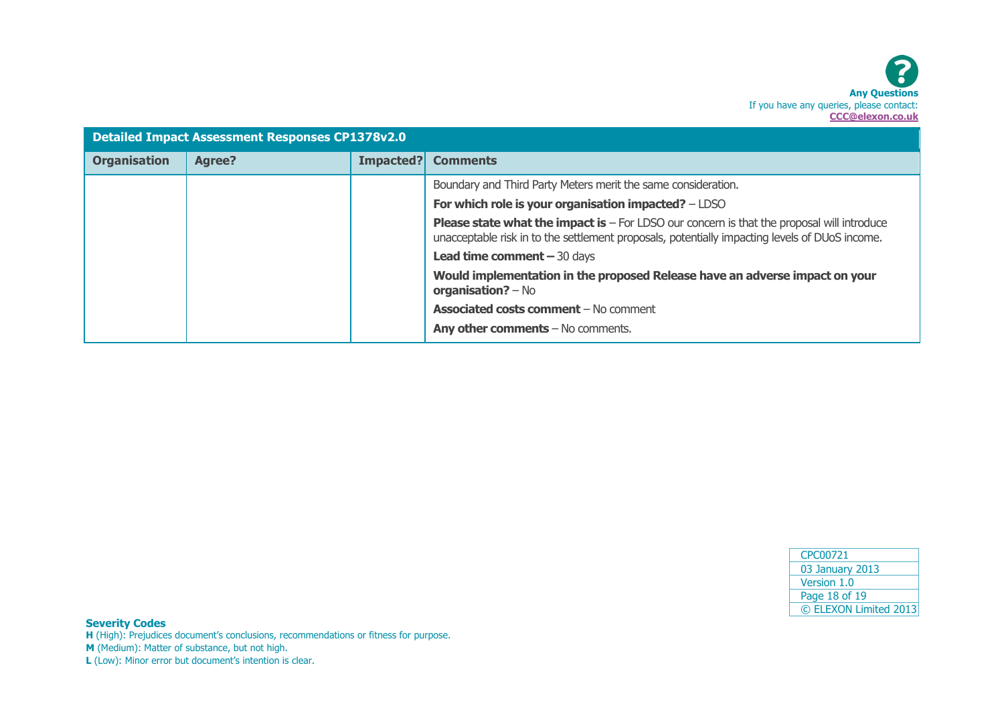

| <b>Detailed Impact Assessment Responses CP1378v2.0</b> |               |                                    |                                                                                                                                                                                                     |  |  |
|--------------------------------------------------------|---------------|------------------------------------|-----------------------------------------------------------------------------------------------------------------------------------------------------------------------------------------------------|--|--|
| <b>Organisation</b>                                    | <b>Agree?</b> | Impacted?                          | <b>Comments</b>                                                                                                                                                                                     |  |  |
|                                                        |               |                                    | Boundary and Third Party Meters merit the same consideration.                                                                                                                                       |  |  |
|                                                        |               |                                    | For which role is your organisation impacted? - LDSO                                                                                                                                                |  |  |
|                                                        |               |                                    | <b>Please state what the impact is - For LDSO our concern is that the proposal will introduce</b><br>unacceptable risk in to the settlement proposals, potentially impacting levels of DUoS income. |  |  |
|                                                        |               | <b>Lead time comment - 30 days</b> |                                                                                                                                                                                                     |  |  |
|                                                        |               |                                    | Would implementation in the proposed Release have an adverse impact on your<br>$organisation? - No$                                                                                                 |  |  |
|                                                        |               |                                    | <b>Associated costs comment - No comment</b>                                                                                                                                                        |  |  |
|                                                        |               |                                    | Any other comments $-$ No comments.                                                                                                                                                                 |  |  |

| CPC00721              |
|-----------------------|
| 03 January 2013       |
| Version 1.0           |
| Page 18 of 19         |
| © ELEXON Limited 2013 |